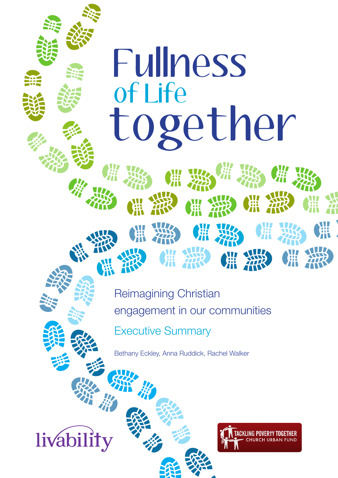# of Life Fullness together

Reimagining Christian engagement in our communities Executive Summary

Bethany Eckley, Anna Ruddick, Rachel Walker

livability

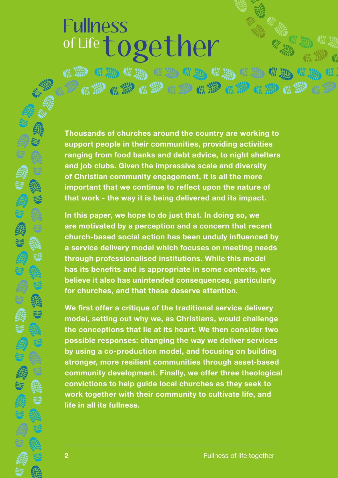# of Life together Fullness

4 No. 4 No. 4 No. 4 No. 4 No. 4 1 No. 4 1 No. 4 1 No. 4 1 No. 4 1 No. 4 1 No. 4 1 No. 4 1 No. 4 1 No

**Thousands of churches around the country are working to support people in their communities, providing activities ranging from food banks and debt advice, to night shelters and job clubs. Given the impressive scale and diversity of Christian community engagement, it is all the more important that we continue to reflect upon the nature of that work - the way it is being delivered and its impact.** 

**In this paper, we hope to do just that. In doing so, we are motivated by a perception and a concern that recent church-based social action has been unduly influenced by a service delivery model which focuses on meeting needs through professionalised institutions. While this model has its benefits and is appropriate in some contexts, we believe it also has unintended consequences, particularly for churches, and that these deserve attention.**

**We first offer a critique of the traditional service delivery model, setting out why we, as Christians, would challenge the conceptions that lie at its heart. We then consider two possible responses: changing the way we deliver services by using a co-production model, and focusing on building stronger, more resilient communities through asset-based community development. Finally, we offer three theological convictions to help guide local churches as they seek to work together with their community to cultivate life, and life in all its fullness.**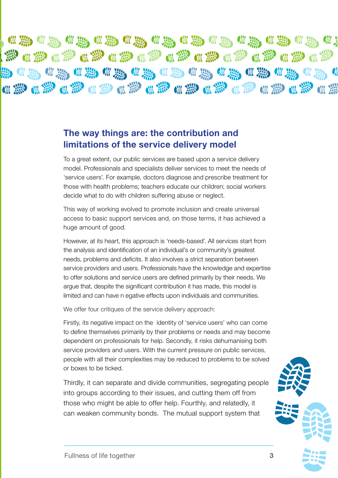**佛紫端紫 柳紫 化紫 化聚 化聚 化聚 化聚 化聚** 

# **The way things are: the contribution and limitations of the service delivery model**

To a great extent, our public services are based upon a service delivery model. Professionals and specialists deliver services to meet the needs of 'service users'. For example, doctors diagnose and prescribe treatment for those with health problems; teachers educate our children; social workers decide what to do with children suffering abuse or neglect.

This way of working evolved to promote inclusion and create universal access to basic support services and, on those terms, it has achieved a huge amount of good.

However, at its heart, this approach is 'needs-based'. All services start from the analysis and identification of an individual's or community's greatest needs, problems and deficits. It also involves a strict separation between service providers and users. Professionals have the knowledge and expertise to offer solutions and service users are defined primarily by their needs. We argue that, despite the significant contribution it has made, this model is limited and can have n egative effects upon individuals and communities.

We offer four critiques of the service delivery approach:

Firstly, its negative impact on the identity of 'service users' who can come to define themselves primarily by their problems or needs and may become dependent on professionals for help. Secondly, it risks dehumanising both service providers and users. With the current pressure on public services, people with all their complexities may be reduced to problems to be solved or boxes to be ticked.

Thirdly, it can separate and divide communities, segregating people into groups according to their issues, and cutting them off from those who might be able to offer help. Fourthly, and relatedly, it can weaken community bonds. The mutual support system that



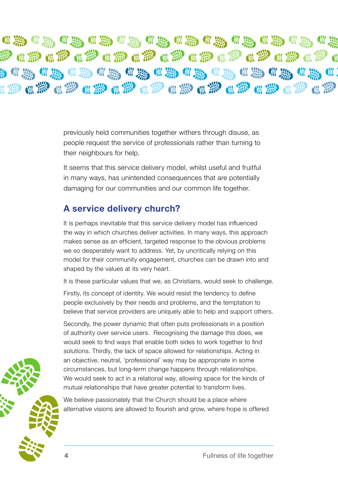**"※"※"※"※"※"※"※"※""※"※"※""※"** 梦鱼糁鱼糁鱼糁鱼糁鱼糁鱼糁鱼糁鱼糁鱼糁鱼糁

> previously held communities together withers through disuse, as people request the service of professionals rather than turning to their neighbours for help.

> It seems that this service delivery model, whilst useful and fruitful in many ways, has unintended consequences that are potentially damaging for our communities and our common life together.

# **A service delivery church?**

It is perhaps inevitable that this service delivery model has influenced the way in which churches deliver activities. In many ways, this approach makes sense as an efficient, targeted response to the obvious problems we so desperately want to address. Yet, by uncritically relying on this model for their community engagement, churches can be drawn into and shaped by the values at its very heart.

It is these particular values that we, as Christians, would seek to challenge.

Firstly, its concept of identity. We would resist the tendency to define people exclusively by their needs and problems, and the temptation to believe that service providers are uniquely able to help and support others.

Secondly, the power dynamic that often puts professionals in a position of authority over service users. Recognising the damage this does, we would seek to find ways that enable both sides to work together to find solutions. Thirdly, the lack of space allowed for relationships. Acting in an objective, neutral, 'professional' way may be appropriate in some circumstances, but long-term change happens through relationships. We would seek to act in a relational way, allowing space for the kinds of mutual relationships that have greater potential to transform lives.

We believe passionately that the Church should be a place where alternative visions are allowed to flourish and grow, where hope is offered

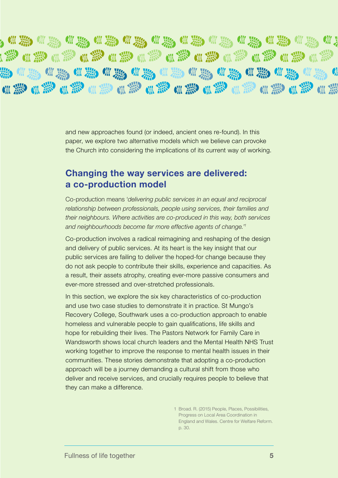**"我,你我知道我,你我,你我**你我,你我 **秘《愁《愁《愁《愁《愁《愁《愁《愁《愁》 熟 "热 "和 "热 "热 "热 "和 "热 "热 "热 "热 "热** 《赞《豫《豫《澄《澄《澄《澄《澄《澄《澄《澄《淡

> and new approaches found (or indeed, ancient ones re-found). In this paper, we explore two alternative models which we believe can provoke the Church into considering the implications of its current way of working.

#### **Changing the way services are delivered: a co-production model**

Co-production means '*delivering public services in an equal and reciprocal relationship between professionals, people using services, their families and their neighbours. Where activities are co-produced in this way, both services and neighbourhoods become far more effective agents of change.'1*

Co-production involves a radical reimagining and reshaping of the design and delivery of public services. At its heart is the key insight that our public services are failing to deliver the hoped-for change because they do not ask people to contribute their skills, experience and capacities. As a result, their assets atrophy, creating ever-more passive consumers and ever-more stressed and over-stretched professionals.

In this section, we explore the six key characteristics of co-production and use two case studies to demonstrate it in practice. St Mungo's Recovery College, Southwark uses a co-production approach to enable homeless and vulnerable people to gain qualifications, life skills and hope for rebuilding their lives. The Pastors Network for Family Care in Wandsworth shows local church leaders and the Mental Health NHS Trust working together to improve the response to mental health issues in their communities. These stories demonstrate that adopting a co-production approach will be a journey demanding a cultural shift from those who deliver and receive services, and crucially requires people to believe that they can make a difference.

> 1 Broad. R. (2015) People, Places, Possibilities, Progress on Local Area Coordination in England and Wales. Centre for Welfare Reform. p. 30.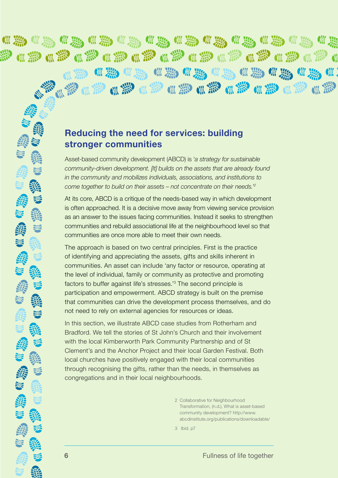**※ # ※ # ※ # ※ # ※ #** 彩佛彩佛彩佛彩佛彩佛彩 撇 **CHI** 佛彩 佛彩 佛彩 佛器 佛彩 佛彩 【 彩色】 "" " " " " " " " " " " " " " " " " " " " " " " " " " " " " " " " *"* " " " " " "

## **Reducing the need for services: building stronger communities**

Asset-based community development (ABCD) is '*a strategy for sustainable community-driven development. [It] builds on the assets that are already found in the community and mobilizes individuals, associations, and institutions to come together to build on their assets – not concentrate on their needs.'2*

At its core, ABCD is a critique of the needs-based way in which development is often approached. It is a decisive move away from viewing service provision as an answer to the issues facing communities. Instead it seeks to strengthen communities and rebuild associational life at the neighbourhood level so that communities are once more able to meet their own needs.

The approach is based on two central principles. First is the practice of identifying and appreciating the assets, gifts and skills inherent in communities. An asset can include 'any factor or resource, operating at the level of individual, family or community as protective and promoting factors to buffer against life's stresses.'3 The second principle is participation and empowerment. ABCD strategy is built on the premise that communities can drive the development process themselves, and do not need to rely on external agencies for resources or ideas.

In this section, we illustrate ABCD case studies from Rotherham and Bradford. We tell the stories of St John's Church and their involvement with the local Kimberworth Park Community Partnership and of St Clement's and the Anchor Project and their local Garden Festival. Both local churches have positively engaged with their local communities through recognising the gifts, rather than the needs, in themselves as congregations and in their local neighbourhoods.

> 2 Collaborative for Neighbourhood Transformation, (n.d.), What is asset-based community development? http://www. abcdinstitute.org/publications/downloadable/

3 Ibid. p7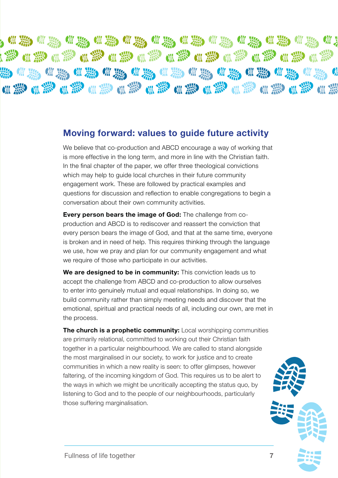, # ※ · # ※ \* ※ \* ※ \* \* ※ \* \* ※ \* \* ※ \* \* ※ **赞和穆利雅自赞和穆利德 全球全球全球全球 为《热情彩》《热情》《热情》《热情》《热情》《热情》** 

## **Moving forward: values to guide future activity**

We believe that co-production and ABCD encourage a way of working that is more effective in the long term, and more in line with the Christian faith. In the final chapter of the paper, we offer three theological convictions which may help to guide local churches in their future community engagement work. These are followed by practical examples and questions for discussion and reflection to enable congregations to begin a conversation about their own community activities.

**Every person bears the image of God:** The challenge from coproduction and ABCD is to rediscover and reassert the conviction that every person bears the image of God, and that at the same time, everyone is broken and in need of help. This requires thinking through the language we use, how we pray and plan for our community engagement and what we require of those who participate in our activities.

**We are designed to be in community:** This conviction leads us to accept the challenge from ABCD and co-production to allow ourselves to enter into genuinely mutual and equal relationships. In doing so, we build community rather than simply meeting needs and discover that the emotional, spiritual and practical needs of all, including our own, are met in the process.

**The church is a prophetic community:** Local worshipping communities are primarily relational, committed to working out their Christian faith together in a particular neighbourhood. We are called to stand alongside the most marginalised in our society, to work for justice and to create communities in which a new reality is seen: to offer glimpses, however faltering, of the incoming kingdom of God. This requires us to be alert to the ways in which we might be uncritically accepting the status quo, by listening to God and to the people of our neighbourhoods, particularly those suffering marginalisation.